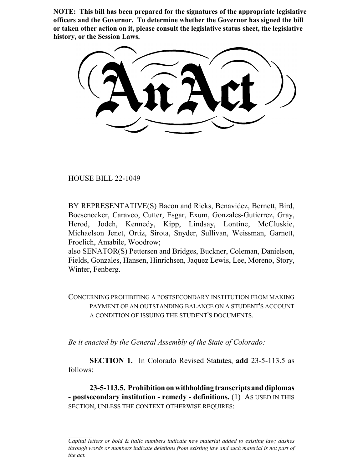**NOTE: This bill has been prepared for the signatures of the appropriate legislative officers and the Governor. To determine whether the Governor has signed the bill or taken other action on it, please consult the legislative status sheet, the legislative history, or the Session Laws.**

HOUSE BILL 22-1049

BY REPRESENTATIVE(S) Bacon and Ricks, Benavidez, Bernett, Bird, Boesenecker, Caraveo, Cutter, Esgar, Exum, Gonzales-Gutierrez, Gray, Herod, Jodeh, Kennedy, Kipp, Lindsay, Lontine, McCluskie, Michaelson Jenet, Ortiz, Sirota, Snyder, Sullivan, Weissman, Garnett, Froelich, Amabile, Woodrow;

also SENATOR(S) Pettersen and Bridges, Buckner, Coleman, Danielson, Fields, Gonzales, Hansen, Hinrichsen, Jaquez Lewis, Lee, Moreno, Story, Winter, Fenberg.

CONCERNING PROHIBITING A POSTSECONDARY INSTITUTION FROM MAKING PAYMENT OF AN OUTSTANDING BALANCE ON A STUDENT'S ACCOUNT A CONDITION OF ISSUING THE STUDENT'S DOCUMENTS.

*Be it enacted by the General Assembly of the State of Colorado:*

**SECTION 1.** In Colorado Revised Statutes, **add** 23-5-113.5 as follows:

**23-5-113.5. Prohibition on withholding transcripts and diplomas - postsecondary institution - remedy - definitions.** (1) AS USED IN THIS SECTION, UNLESS THE CONTEXT OTHERWISE REQUIRES:

*Capital letters or bold & italic numbers indicate new material added to existing law; dashes through words or numbers indicate deletions from existing law and such material is not part of the act.*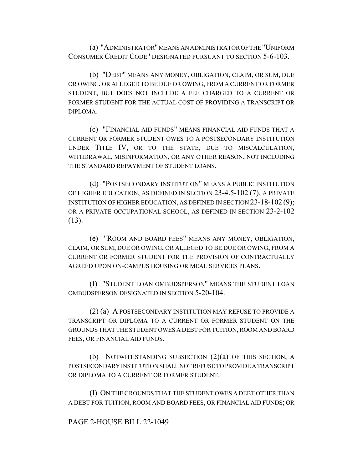(a) "ADMINISTRATOR" MEANS AN ADMINISTRATOR OF THE "UNIFORM CONSUMER CREDIT CODE" DESIGNATED PURSUANT TO SECTION 5-6-103.

(b) "DEBT" MEANS ANY MONEY, OBLIGATION, CLAIM, OR SUM, DUE OR OWING, OR ALLEGED TO BE DUE OR OWING, FROM A CURRENT OR FORMER STUDENT, BUT DOES NOT INCLUDE A FEE CHARGED TO A CURRENT OR FORMER STUDENT FOR THE ACTUAL COST OF PROVIDING A TRANSCRIPT OR DIPLOMA.

(c) "FINANCIAL AID FUNDS" MEANS FINANCIAL AID FUNDS THAT A CURRENT OR FORMER STUDENT OWES TO A POSTSECONDARY INSTITUTION UNDER TITLE IV, OR TO THE STATE, DUE TO MISCALCULATION, WITHDRAWAL, MISINFORMATION, OR ANY OTHER REASON, NOT INCLUDING THE STANDARD REPAYMENT OF STUDENT LOANS.

(d) "POSTSECONDARY INSTITUTION" MEANS A PUBLIC INSTITUTION OF HIGHER EDUCATION, AS DEFINED IN SECTION 23-4.5-102 (7); A PRIVATE INSTITUTION OF HIGHER EDUCATION, AS DEFINED IN SECTION 23-18-102 (9); OR A PRIVATE OCCUPATIONAL SCHOOL, AS DEFINED IN SECTION 23-2-102  $(13)$ .

(e) "ROOM AND BOARD FEES" MEANS ANY MONEY, OBLIGATION, CLAIM, OR SUM, DUE OR OWING, OR ALLEGED TO BE DUE OR OWING, FROM A CURRENT OR FORMER STUDENT FOR THE PROVISION OF CONTRACTUALLY AGREED UPON ON-CAMPUS HOUSING OR MEAL SERVICES PLANS.

(f) "STUDENT LOAN OMBUDSPERSON" MEANS THE STUDENT LOAN OMBUDSPERSON DESIGNATED IN SECTION 5-20-104.

(2) (a) A POSTSECONDARY INSTITUTION MAY REFUSE TO PROVIDE A TRANSCRIPT OR DIPLOMA TO A CURRENT OR FORMER STUDENT ON THE GROUNDS THAT THE STUDENT OWES A DEBT FOR TUITION, ROOM AND BOARD FEES, OR FINANCIAL AID FUNDS.

(b) NOTWITHSTANDING SUBSECTION (2)(a) OF THIS SECTION, A POSTSECONDARY INSTITUTION SHALL NOT REFUSE TO PROVIDE A TRANSCRIPT OR DIPLOMA TO A CURRENT OR FORMER STUDENT:

(I) ON THE GROUNDS THAT THE STUDENT OWES A DEBT OTHER THAN A DEBT FOR TUITION, ROOM AND BOARD FEES, OR FINANCIAL AID FUNDS; OR

## PAGE 2-HOUSE BILL 22-1049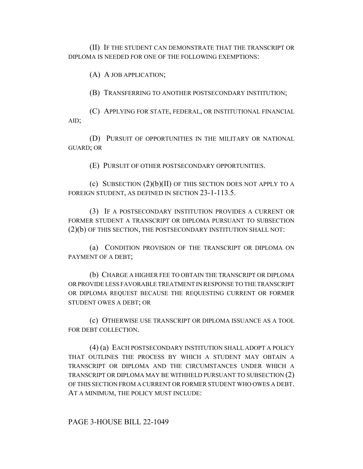(II) IF THE STUDENT CAN DEMONSTRATE THAT THE TRANSCRIPT OR DIPLOMA IS NEEDED FOR ONE OF THE FOLLOWING EXEMPTIONS:

(A) A JOB APPLICATION;

(B) TRANSFERRING TO ANOTHER POSTSECONDARY INSTITUTION;

(C) APPLYING FOR STATE, FEDERAL, OR INSTITUTIONAL FINANCIAL AID;

(D) PURSUIT OF OPPORTUNITIES IN THE MILITARY OR NATIONAL GUARD; OR

(E) PURSUIT OF OTHER POSTSECONDARY OPPORTUNITIES.

(c) SUBSECTION  $(2)(b)(II)$  OF THIS SECTION DOES NOT APPLY TO A FOREIGN STUDENT, AS DEFINED IN SECTION 23-1-113.5.

(3) IF A POSTSECONDARY INSTITUTION PROVIDES A CURRENT OR FORMER STUDENT A TRANSCRIPT OR DIPLOMA PURSUANT TO SUBSECTION (2)(b) OF THIS SECTION, THE POSTSECONDARY INSTITUTION SHALL NOT:

(a) CONDITION PROVISION OF THE TRANSCRIPT OR DIPLOMA ON PAYMENT OF A DEBT;

(b) CHARGE A HIGHER FEE TO OBTAIN THE TRANSCRIPT OR DIPLOMA OR PROVIDE LESS FAVORABLE TREATMENT IN RESPONSE TO THE TRANSCRIPT OR DIPLOMA REQUEST BECAUSE THE REQUESTING CURRENT OR FORMER STUDENT OWES A DEBT; OR

(c) OTHERWISE USE TRANSCRIPT OR DIPLOMA ISSUANCE AS A TOOL FOR DEBT COLLECTION.

(4) (a) EACH POSTSECONDARY INSTITUTION SHALL ADOPT A POLICY THAT OUTLINES THE PROCESS BY WHICH A STUDENT MAY OBTAIN A TRANSCRIPT OR DIPLOMA AND THE CIRCUMSTANCES UNDER WHICH A TRANSCRIPT OR DIPLOMA MAY BE WITHHELD PURSUANT TO SUBSECTION (2) OF THIS SECTION FROM A CURRENT OR FORMER STUDENT WHO OWES A DEBT. AT A MINIMUM, THE POLICY MUST INCLUDE:

PAGE 3-HOUSE BILL 22-1049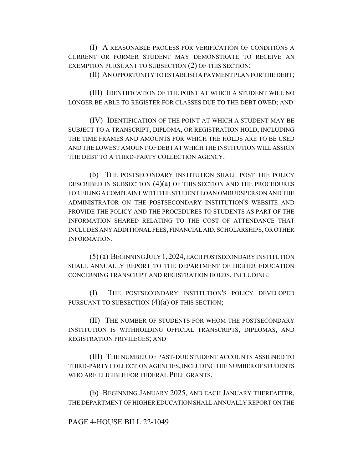(I) A REASONABLE PROCESS FOR VERIFICATION OF CONDITIONS A CURRENT OR FORMER STUDENT MAY DEMONSTRATE TO RECEIVE AN EXEMPTION PURSUANT TO SUBSECTION (2) OF THIS SECTION;

(II) AN OPPORTUNITY TO ESTABLISH A PAYMENT PLAN FOR THE DEBT;

(III) IDENTIFICATION OF THE POINT AT WHICH A STUDENT WILL NO LONGER BE ABLE TO REGISTER FOR CLASSES DUE TO THE DEBT OWED; AND

(IV) IDENTIFICATION OF THE POINT AT WHICH A STUDENT MAY BE SUBJECT TO A TRANSCRIPT, DIPLOMA, OR REGISTRATION HOLD, INCLUDING THE TIME FRAMES AND AMOUNTS FOR WHICH THE HOLDS ARE TO BE USED AND THE LOWEST AMOUNT OF DEBT AT WHICH THE INSTITUTION WILL ASSIGN THE DEBT TO A THIRD-PARTY COLLECTION AGENCY.

(b) THE POSTSECONDARY INSTITUTION SHALL POST THE POLICY DESCRIBED IN SUBSECTION  $(4)(a)$  OF THIS SECTION AND THE PROCEDURES FOR FILING A COMPLAINT WITH THE STUDENT LOAN OMBUDSPERSON AND THE ADMINISTRATOR ON THE POSTSECONDARY INSTITUTION'S WEBSITE AND PROVIDE THE POLICY AND THE PROCEDURES TO STUDENTS AS PART OF THE INFORMATION SHARED RELATING TO THE COST OF ATTENDANCE THAT INCLUDES ANY ADDITIONAL FEES, FINANCIAL AID, SCHOLARSHIPS, OR OTHER INFORMATION.

(5) (a) BEGINNING JULY 1,2024, EACH POSTSECONDARY INSTITUTION SHALL ANNUALLY REPORT TO THE DEPARTMENT OF HIGHER EDUCATION CONCERNING TRANSCRIPT AND REGISTRATION HOLDS, INCLUDING:

(I) THE POSTSECONDARY INSTITUTION'S POLICY DEVELOPED PURSUANT TO SUBSECTION  $(4)(a)$  OF THIS SECTION;

(II) THE NUMBER OF STUDENTS FOR WHOM THE POSTSECONDARY INSTITUTION IS WITHHOLDING OFFICIAL TRANSCRIPTS, DIPLOMAS, AND REGISTRATION PRIVILEGES; AND

(III) THE NUMBER OF PAST-DUE STUDENT ACCOUNTS ASSIGNED TO THIRD-PARTY COLLECTION AGENCIES, INCLUDING THE NUMBER OF STUDENTS WHO ARE ELIGIBLE FOR FEDERAL PELL GRANTS.

(b) BEGINNING JANUARY 2025, AND EACH JANUARY THEREAFTER, THE DEPARTMENT OF HIGHER EDUCATION SHALL ANNUALLY REPORT ON THE

## PAGE 4-HOUSE BILL 22-1049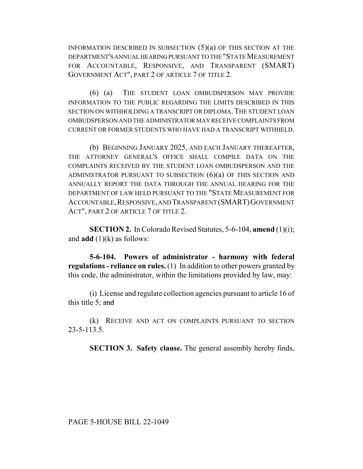INFORMATION DESCRIBED IN SUBSECTION  $(5)(a)$  OF THIS SECTION AT THE DEPARTMENT'S ANNUAL HEARING PURSUANT TO THE "STATE MEASUREMENT FOR ACCOUNTABLE, RESPONSIVE, AND TRANSPARENT (SMART) GOVERNMENT ACT", PART 2 OF ARTICLE 7 OF TITLE 2.

(6) (a) THE STUDENT LOAN OMBUDSPERSON MAY PROVIDE INFORMATION TO THE PUBLIC REGARDING THE LIMITS DESCRIBED IN THIS SECTION ON WITHHOLDING A TRANSCRIPT OR DIPLOMA. THE STUDENT LOAN OMBUDSPERSON AND THE ADMINISTRATOR MAY RECEIVE COMPLAINTS FROM CURRENT OR FORMER STUDENTS WHO HAVE HAD A TRANSCRIPT WITHHELD.

(b) BEGINNING JANUARY 2025, AND EACH JANUARY THEREAFTER, THE ATTORNEY GENERAL'S OFFICE SHALL COMPILE DATA ON THE COMPLAINTS RECEIVED BY THE STUDENT LOAN OMBUDSPERSON AND THE ADMINISTRATOR PURSUANT TO SUBSECTION  $(6)(a)$  OF THIS SECTION AND ANNUALLY REPORT THE DATA THROUGH THE ANNUAL HEARING FOR THE DEPARTMENT OF LAW HELD PURSUANT TO THE "STATE MEASUREMENT FOR ACCOUNTABLE,RESPONSIVE, AND TRANSPARENT (SMART)GOVERNMENT ACT", PART 2 OF ARTICLE 7 OF TITLE 2.

**SECTION 2.** In Colorado Revised Statutes, 5-6-104, **amend** (1)(i); and  $add(1)(k)$  as follows:

**5-6-104. Powers of administrator - harmony with federal regulations - reliance on rules.** (1) In addition to other powers granted by this code, the administrator, within the limitations provided by law, may:

(i) License and regulate collection agencies pursuant to article 16 of this title 5; and

(k) RECEIVE AND ACT ON COMPLAINTS PURSUANT TO SECTION 23-5-113.5.

**SECTION 3. Safety clause.** The general assembly hereby finds,